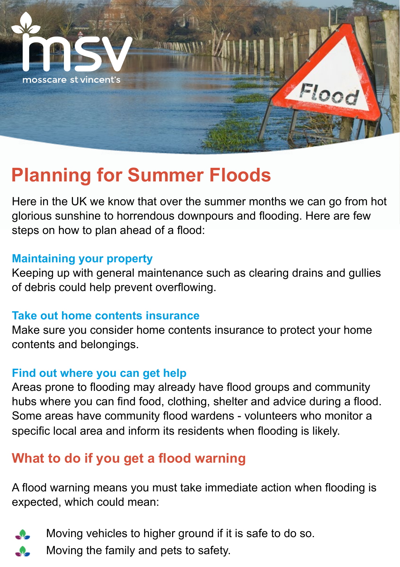

# **Planning for Summer Floods**

Here in the UK we know that over the summer months we can go from hot glorious sunshine to horrendous downpours and flooding. Here are few steps on how to plan ahead of a flood:

#### **Maintaining your property**

Keeping up with general maintenance such as clearing drains and gullies of debris could help prevent overflowing.

#### **Take out home contents insurance**

Make sure you consider home contents insurance to protect your home contents and belongings.

#### **Find out where you can get help**

Areas prone to flooding may already have flood groups and community hubs where you can find food, clothing, shelter and advice during a flood. Some areas have community flood wardens - volunteers who monitor a specific local area and inform its residents when flooding is likely.

## **What to do if you get a flood warning**

A flood warning means you must take immediate action when flooding is expected, which could mean:



- Moving vehicles to higher ground if it is safe to do so.
- Moving the family and pets to safety.